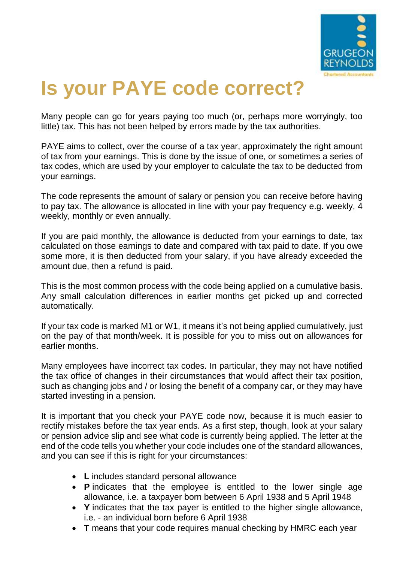

## **Is your PAYE code correct?**

Many people can go for years paying too much (or, perhaps more worryingly, too little) tax. This has not been helped by errors made by the tax authorities.

[PAYE](http://www.grugeonreynolds.co.uk/tax/paye-and-ni) aims to collect, over the course of a tax year, approximately the right amount of tax from your earnings. This is done by the issue of one, or sometimes a series of tax codes, which are used by your employer to calculate the tax to be deducted from your earnings.

The code represents the amount of salary or pension you can receive before having to pay tax. The allowance is allocated in line with your pay frequency e.g. weekly, 4 weekly, monthly or even annually.

If you are paid monthly, the allowance is deducted from your earnings to date, tax calculated on those earnings to date and compared with tax paid to date. If you owe some more, it is then deducted from your salary, if you have already exceeded the amount due, then a refund is paid.

This is the most common process with the code being applied on a cumulative basis. Any small calculation differences in earlier months get picked up and corrected automatically.

If your tax code is marked M1 or W1, it means it's not being applied cumulatively, just on the pay of that month/week. It is possible for you to miss out on allowances for earlier months.

Many employees have incorrect tax codes. In particular, they may not have notified the tax office of changes in their circumstances that would affect their tax position, such as changing jobs and / or losing the benefit of a company car, or they may have started investing in a pension.

It is important that you check your PAYE code now, because it is much easier to rectify mistakes before the tax year ends. As a first step, though, look at your salary or pension advice slip and see what code is currently being applied. The letter at the end of the code tells you whether your code includes one of the standard allowances, and you can see if this is right for your circumstances:

- **L** includes standard personal allowance
- **P** indicates that the employee is entitled to the lower single age allowance, i.e. a taxpayer born between 6 April 1938 and 5 April 1948
- **Y** indicates that the tax payer is entitled to the higher single allowance, i.e. - an individual born before 6 April 1938
- **T** means that your code requires manual checking by HMRC each year